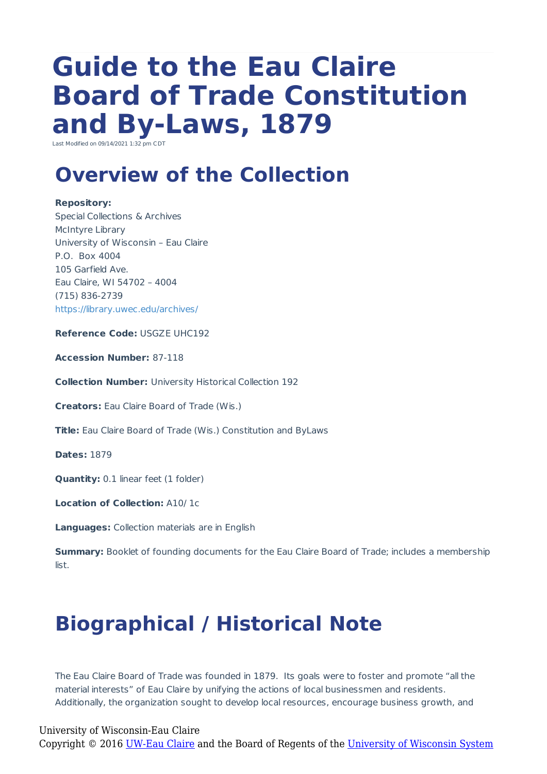# **Guide to the Eau Claire Board of Trade Constitution and By-Laws, 1879**

Last Modified on 09/14/2021 1:32 pm CD

## **Overview of the Collection**

#### **Repository:**

Special Collections & Archives McIntyre Library University of Wisconsin – Eau Claire P.O. Box 4004 105 Garfield Ave. Eau Claire, WI 54702 – 4004 (715) 836-2739 https://library.uwec.edu/archives/

**Reference Code:** USGZE UHC192

**Accession Number:** 87-118

**Collection Number:** University Historical Collection 192

**Creators:** Eau Claire Board of Trade (Wis.)

**Title:** Eau Claire Board of Trade (Wis.) Constitution and ByLaws

**Dates:** 1879

**Quantity:** 0.1 linear feet (1 folder)

**Location of Collection:** A10/ 1c

**Languages:** Collection materials are in English

**Summary:** Booklet of founding documents for the Eau Claire Board of Trade; includes a membership list.

## **Biographical / Historical Note**

The Eau Claire Board of Trade was founded in 1879. Its goals were to foster and promote "all the material interests" of Eau Claire by unifying the actions of local businessmen and residents. Additionally, the organization sought to develop local resources, encourage business growth, and

University of Wisconsin-Eau Claire Copyright © 2016 [UW-Eau Claire](http://www.uwec.edu) and the Board of Regents of the [University of Wisconsin System](http://www.uwsa.edu/)